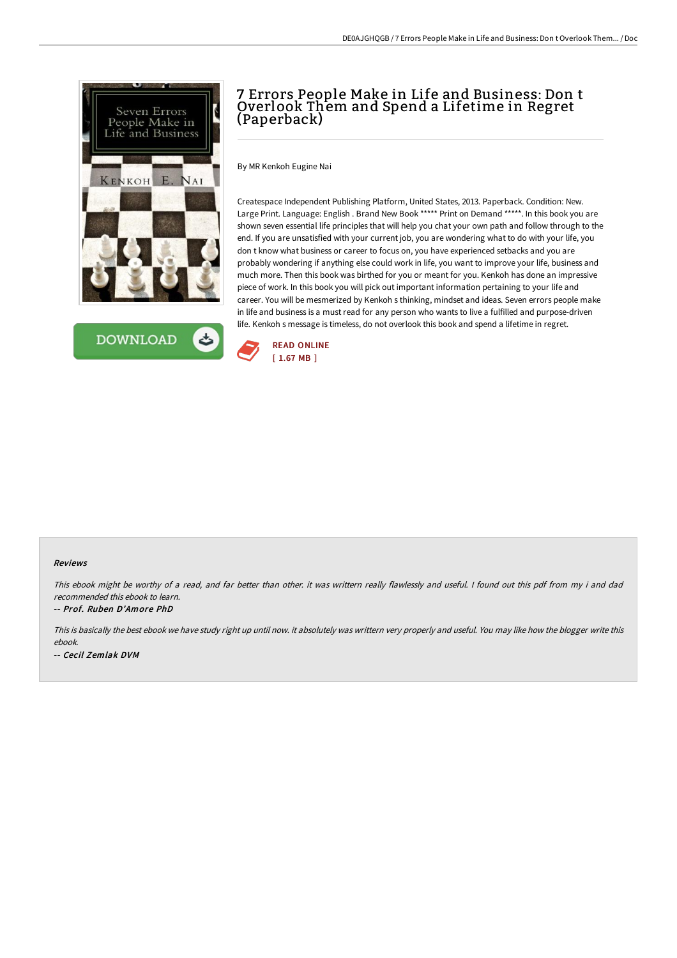



# 7 Errors People Make in Life and Business: Don t Overlook Them and Spend a Lifetime in Regret (Paperback)

By MR Kenkoh Eugine Nai

Createspace Independent Publishing Platform, United States, 2013. Paperback. Condition: New. Large Print. Language: English . Brand New Book \*\*\*\*\* Print on Demand \*\*\*\*\*. In this book you are shown seven essential life principles that will help you chat your own path and follow through to the end. If you are unsatisfied with your current job, you are wondering what to do with your life, you don t know what business or career to focus on, you have experienced setbacks and you are probably wondering if anything else could work in life, you want to improve your life, business and much more. Then this book was birthed for you or meant for you. Kenkoh has done an impressive piece of work. In this book you will pick out important information pertaining to your life and career. You will be mesmerized by Kenkoh s thinking, mindset and ideas. Seven errors people make in life and business is a must read for any person who wants to live a fulfilled and purpose-driven life. Kenkoh s message is timeless, do not overlook this book and spend a lifetime in regret.



#### Reviews

This ebook might be worthy of <sup>a</sup> read, and far better than other. it was writtern really flawlessly and useful. <sup>I</sup> found out this pdf from my i and dad recommended this ebook to learn.

#### -- Prof. Ruben D'Amore PhD

This is basically the best ebook we have study right up until now. it absolutely was writtern very properly and useful. You may like how the blogger write this ebook. -- Cecil Zemlak DVM